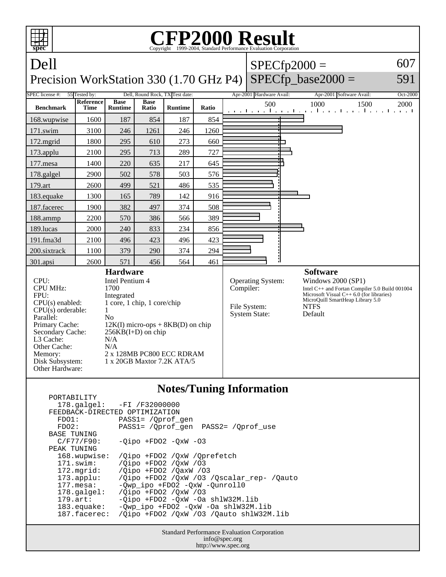

| $F \cup V \perp F \cup I \perp I \perp I$ |                                           |
|-------------------------------------------|-------------------------------------------|
|                                           | $178.\text{qalgel}: -FI /F32000000$       |
| FEEDBACK-DIRECTED OPTIMIZATION            |                                           |
| FDO1:                                     | PASS1= /Oprof gen                         |
| FDO2:                                     | PASS1= /Oprof gen PASS2= /Oprof use       |
| <b>BASE TUNING</b>                        |                                           |
| $C/F77/F90$ :                             | $-Oipo$ +FDO2 -OxW -O3                    |
| PEAK TUNING                               |                                           |
| 168.wupwise:                              | /Oipo +FDO2 /OxW /Oprefetch               |
| $171$ .swim:                              | /Oipo +FDO2 /OxW /03                      |
| 172.mgrid:                                | /Qipo +FDO2 /QaxW /03                     |
| $173.appendu$ :                           | /Qipo +FD02 /QxW /03 /Qscalar_rep- /Qauto |
| $177.\text{mesa}$ :                       | -Qwp_ipo +FDO2 -QxW -Qunroll0             |
| $178.\text{qalgel}$ :                     | /Oipo +FD02 /OxW /03                      |
| $179.\text{art}$ :                        | -Oipo +FDO2 -OxW -Oa shlW32M.lib          |
| $183$ .equake:                            | -Owp ipo +FDO2 -OxW -Oa shlW32M.lib       |
| 187.facerec:                              | /Oipo +FDO2 /OxW /O3 /Oauto shlW32M.lib   |
|                                           |                                           |

Standard Performance Evaluation Corporation info@spec.org http://www.spec.org